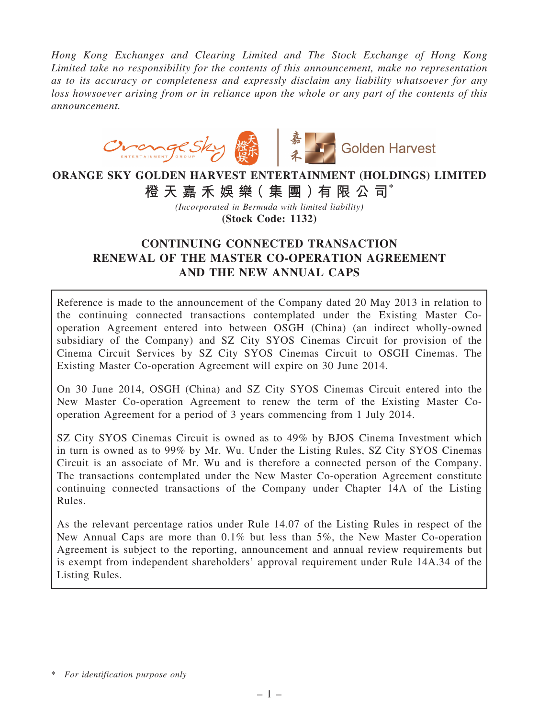*Hong Kong Exchanges and Clearing Limited and The Stock Exchange of Hong Kong Limited take no responsibility for the contents of this announcement, make no representation as to its accuracy or completeness and expressly disclaim any liability whatsoever for any loss howsoever arising from or in reliance upon the whole or any part of the contents of this announcement.*



# ORANGE SKY GOLDEN HARVEST ENTERTAINMENT (HOLDINGS) LIMITED 橙 天 嘉 禾 娛 樂 (集 團 ) 有 限 公 司 $^*$

*(Incorporated in Bermuda with limited liability)* (Stock Code: 1132)

# CONTINUING CONNECTED TRANSACTION RENEWAL OF THE MASTER CO-OPERATION AGREEMENT AND THE NEW ANNUAL CAPS

Reference is made to the announcement of the Company dated 20 May 2013 in relation to the continuing connected transactions contemplated under the Existing Master Cooperation Agreement entered into between OSGH (China) (an indirect wholly-owned subsidiary of the Company) and SZ City SYOS Cinemas Circuit for provision of the Cinema Circuit Services by SZ City SYOS Cinemas Circuit to OSGH Cinemas. The Existing Master Co-operation Agreement will expire on 30 June 2014.

On 30 June 2014, OSGH (China) and SZ City SYOS Cinemas Circuit entered into the New Master Co-operation Agreement to renew the term of the Existing Master Cooperation Agreement for a period of 3 years commencing from 1 July 2014.

SZ City SYOS Cinemas Circuit is owned as to 49% by BJOS Cinema Investment which in turn is owned as to 99% by Mr. Wu. Under the Listing Rules, SZ City SYOS Cinemas Circuit is an associate of Mr. Wu and is therefore a connected person of the Company. The transactions contemplated under the New Master Co-operation Agreement constitute continuing connected transactions of the Company under Chapter 14A of the Listing Rules.

As the relevant percentage ratios under Rule 14.07 of the Listing Rules in respect of the New Annual Caps are more than 0.1% but less than 5%, the New Master Co-operation Agreement is subject to the reporting, announcement and annual review requirements but is exempt from independent shareholders' approval requirement under Rule 14A.34 of the Listing Rules.

<sup>\*</sup> *For identification purpose only*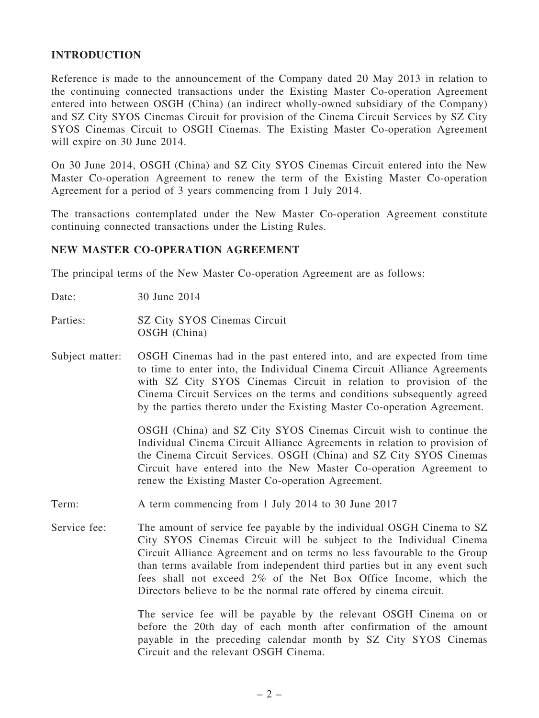#### INTRODUCTION

Reference is made to the announcement of the Company dated 20 May 2013 in relation to the continuing connected transactions under the Existing Master Co-operation Agreement entered into between OSGH (China) (an indirect wholly-owned subsidiary of the Company) and SZ City SYOS Cinemas Circuit for provision of the Cinema Circuit Services by SZ City SYOS Cinemas Circuit to OSGH Cinemas. The Existing Master Co-operation Agreement will expire on 30 June 2014.

On 30 June 2014, OSGH (China) and SZ City SYOS Cinemas Circuit entered into the New Master Co-operation Agreement to renew the term of the Existing Master Co-operation Agreement for a period of 3 years commencing from 1 July 2014.

The transactions contemplated under the New Master Co-operation Agreement constitute continuing connected transactions under the Listing Rules.

#### NEW MASTER CO-OPERATION AGREEMENT

The principal terms of the New Master Co-operation Agreement are as follows:

Date: 30 June 2014

Parties: SZ City SYOS Cinemas Circuit OSGH (China)

Subject matter: OSGH Cinemas had in the past entered into, and are expected from time to time to enter into, the Individual Cinema Circuit Alliance Agreements with SZ City SYOS Cinemas Circuit in relation to provision of the Cinema Circuit Services on the terms and conditions subsequently agreed by the parties thereto under the Existing Master Co-operation Agreement.

> OSGH (China) and SZ City SYOS Cinemas Circuit wish to continue the Individual Cinema Circuit Alliance Agreements in relation to provision of the Cinema Circuit Services. OSGH (China) and SZ City SYOS Cinemas Circuit have entered into the New Master Co-operation Agreement to renew the Existing Master Co-operation Agreement.

- Term: A term commencing from 1 July 2014 to 30 June 2017
- Service fee: The amount of service fee payable by the individual OSGH Cinema to SZ City SYOS Cinemas Circuit will be subject to the Individual Cinema Circuit Alliance Agreement and on terms no less favourable to the Group than terms available from independent third parties but in any event such fees shall not exceed 2% of the Net Box Office Income, which the Directors believe to be the normal rate offered by cinema circuit.

The service fee will be payable by the relevant OSGH Cinema on or before the 20th day of each month after confirmation of the amount payable in the preceding calendar month by SZ City SYOS Cinemas Circuit and the relevant OSGH Cinema.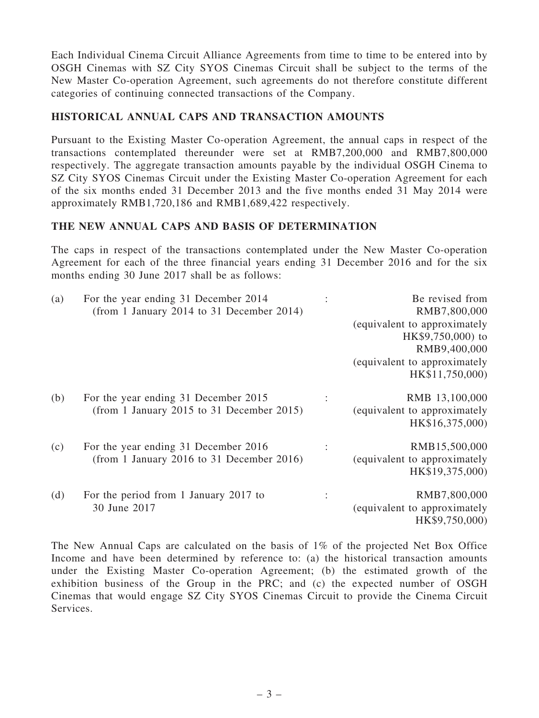Each Individual Cinema Circuit Alliance Agreements from time to time to be entered into by OSGH Cinemas with SZ City SYOS Cinemas Circuit shall be subject to the terms of the New Master Co-operation Agreement, such agreements do not therefore constitute different categories of continuing connected transactions of the Company.

# HISTORICAL ANNUAL CAPS AND TRANSACTION AMOUNTS

Pursuant to the Existing Master Co-operation Agreement, the annual caps in respect of the transactions contemplated thereunder were set at RMB7,200,000 and RMB7,800,000 respectively. The aggregate transaction amounts payable by the individual OSGH Cinema to SZ City SYOS Cinemas Circuit under the Existing Master Co-operation Agreement for each of the six months ended 31 December 2013 and the five months ended 31 May 2014 were approximately RMB1,720,186 and RMB1,689,422 respectively.

# THE NEW ANNUAL CAPS AND BASIS OF DETERMINATION

The caps in respect of the transactions contemplated under the New Master Co-operation Agreement for each of the three financial years ending 31 December 2016 and for the six months ending 30 June 2017 shall be as follows:

| (a) | For the year ending 31 December 2014      | Be revised from              |
|-----|-------------------------------------------|------------------------------|
|     | (from 1 January 2014 to 31 December 2014) | RMB7,800,000                 |
|     |                                           | (equivalent to approximately |
|     |                                           | HK\$9,750,000) to            |
|     |                                           | RMB9,400,000                 |
|     |                                           | (equivalent to approximately |
|     |                                           | HK\$11,750,000)              |
| (b) | For the year ending 31 December 2015      | RMB 13,100,000               |
|     | (from 1 January 2015 to 31 December 2015) | (equivalent to approximately |
|     |                                           | HK\$16,375,000)              |
| (c) | For the year ending 31 December 2016      | RMB15,500,000                |
|     | (from 1 January 2016 to 31 December 2016) | (equivalent to approximately |
|     |                                           | HK\$19,375,000)              |
| (d) | For the period from 1 January 2017 to     | RMB7,800,000                 |
|     | 30 June 2017                              | (equivalent to approximately |
|     |                                           | HK\$9,750,000)               |

The New Annual Caps are calculated on the basis of 1% of the projected Net Box Office Income and have been determined by reference to: (a) the historical transaction amounts under the Existing Master Co-operation Agreement; (b) the estimated growth of the exhibition business of the Group in the PRC; and (c) the expected number of OSGH Cinemas that would engage SZ City SYOS Cinemas Circuit to provide the Cinema Circuit Services.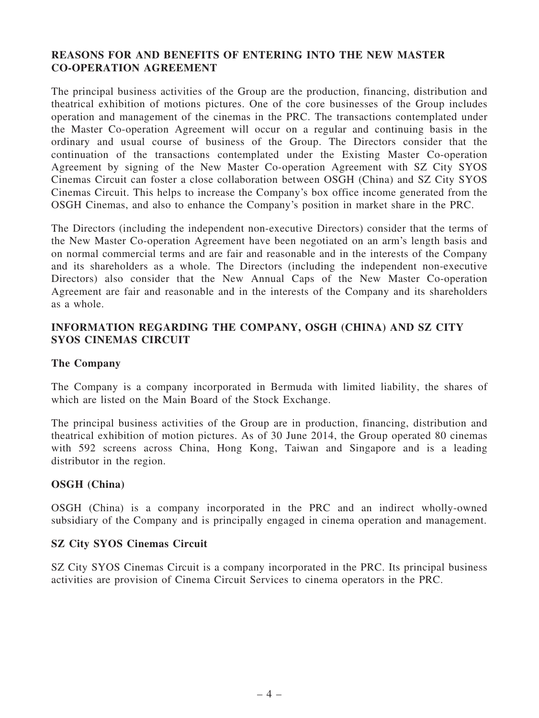# REASONS FOR AND BENEFITS OF ENTERING INTO THE NEW MASTER CO-OPERATION AGREEMENT

The principal business activities of the Group are the production, financing, distribution and theatrical exhibition of motions pictures. One of the core businesses of the Group includes operation and management of the cinemas in the PRC. The transactions contemplated under the Master Co-operation Agreement will occur on a regular and continuing basis in the ordinary and usual course of business of the Group. The Directors consider that the continuation of the transactions contemplated under the Existing Master Co-operation Agreement by signing of the New Master Co-operation Agreement with SZ City SYOS Cinemas Circuit can foster a close collaboration between OSGH (China) and SZ City SYOS Cinemas Circuit. This helps to increase the Company's box office income generated from the OSGH Cinemas, and also to enhance the Company's position in market share in the PRC.

The Directors (including the independent non-executive Directors) consider that the terms of the New Master Co-operation Agreement have been negotiated on an arm's length basis and on normal commercial terms and are fair and reasonable and in the interests of the Company and its shareholders as a whole. The Directors (including the independent non-executive Directors) also consider that the New Annual Caps of the New Master Co-operation Agreement are fair and reasonable and in the interests of the Company and its shareholders as a whole.

# INFORMATION REGARDING THE COMPANY, OSGH (CHINA) AND SZ CITY SYOS CINEMAS CIRCUIT

#### The Company

The Company is a company incorporated in Bermuda with limited liability, the shares of which are listed on the Main Board of the Stock Exchange.

The principal business activities of the Group are in production, financing, distribution and theatrical exhibition of motion pictures. As of 30 June 2014, the Group operated 80 cinemas with 592 screens across China, Hong Kong, Taiwan and Singapore and is a leading distributor in the region.

#### OSGH (China)

OSGH (China) is a company incorporated in the PRC and an indirect wholly-owned subsidiary of the Company and is principally engaged in cinema operation and management.

#### SZ City SYOS Cinemas Circuit

SZ City SYOS Cinemas Circuit is a company incorporated in the PRC. Its principal business activities are provision of Cinema Circuit Services to cinema operators in the PRC.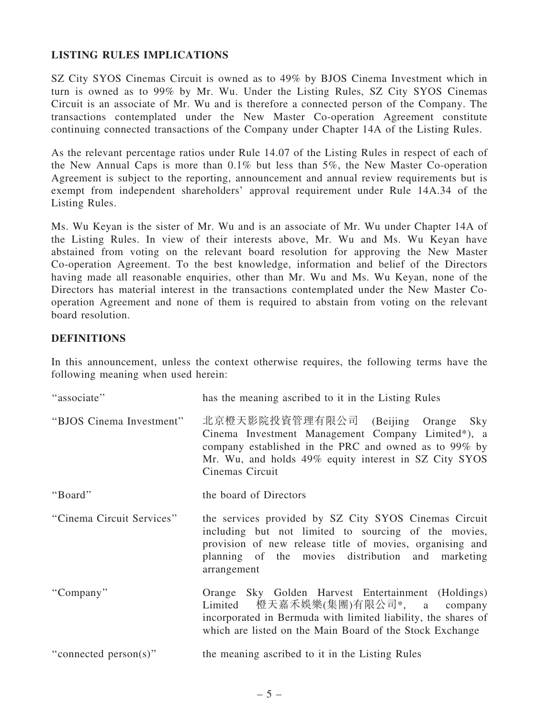# LISTING RULES IMPLICATIONS

SZ City SYOS Cinemas Circuit is owned as to 49% by BJOS Cinema Investment which in turn is owned as to 99% by Mr. Wu. Under the Listing Rules, SZ City SYOS Cinemas Circuit is an associate of Mr. Wu and is therefore a connected person of the Company. The transactions contemplated under the New Master Co-operation Agreement constitute continuing connected transactions of the Company under Chapter 14A of the Listing Rules.

As the relevant percentage ratios under Rule 14.07 of the Listing Rules in respect of each of the New Annual Caps is more than 0.1% but less than 5%, the New Master Co-operation Agreement is subject to the reporting, announcement and annual review requirements but is exempt from independent shareholders' approval requirement under Rule 14A.34 of the Listing Rules.

Ms. Wu Keyan is the sister of Mr. Wu and is an associate of Mr. Wu under Chapter 14A of the Listing Rules. In view of their interests above, Mr. Wu and Ms. Wu Keyan have abstained from voting on the relevant board resolution for approving the New Master Co-operation Agreement. To the best knowledge, information and belief of the Directors having made all reasonable enquiries, other than Mr. Wu and Ms. Wu Keyan, none of the Directors has material interest in the transactions contemplated under the New Master Cooperation Agreement and none of them is required to abstain from voting on the relevant board resolution.

# **DEFINITIONS**

In this announcement, unless the context otherwise requires, the following terms have the following meaning when used herein:

| "associate"               | has the meaning ascribed to it in the Listing Rules                                                                                                                                                                                           |
|---------------------------|-----------------------------------------------------------------------------------------------------------------------------------------------------------------------------------------------------------------------------------------------|
| "BJOS Cinema Investment"  | 北京橙天影院投資管理有限公司 (Beijing Orange Sky<br>Cinema Investment Management Company Limited*), a<br>company established in the PRC and owned as to 99% by<br>Mr. Wu, and holds 49% equity interest in SZ City SYOS<br>Cinemas Circuit                  |
| "Board"                   | the board of Directors                                                                                                                                                                                                                        |
| "Cinema Circuit Services" | the services provided by SZ City SYOS Cinemas Circuit<br>including but not limited to sourcing of the movies,<br>provision of new release title of movies, organising and<br>planning of the movies distribution and marketing<br>arrangement |
| "Company"                 | Orange Sky Golden Harvest Entertainment (Holdings)<br>Limited 橙天嘉禾娛樂(集團)有限公司*, a company<br>incorporated in Bermuda with limited liability, the shares of<br>which are listed on the Main Board of the Stock Exchange                         |
| "connected person(s)"     | the meaning ascribed to it in the Listing Rules                                                                                                                                                                                               |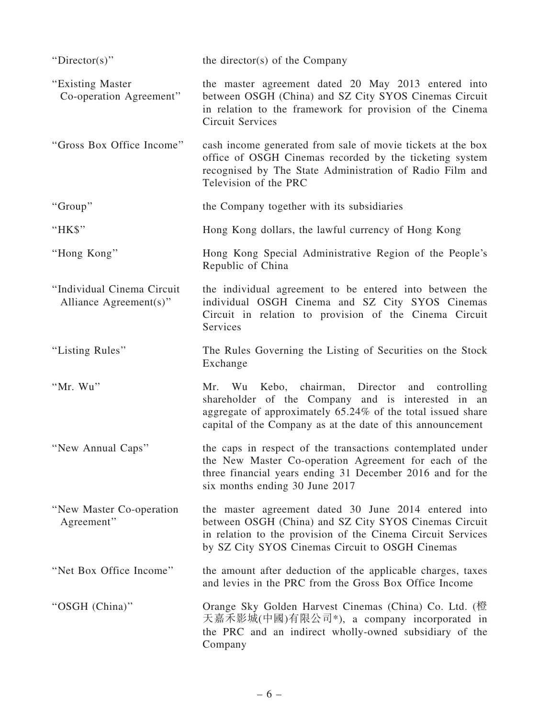| "Director(s)"                                        | the director(s) of the Company                                                                                                                                                                                                     |
|------------------------------------------------------|------------------------------------------------------------------------------------------------------------------------------------------------------------------------------------------------------------------------------------|
| "Existing Master"<br>Co-operation Agreement"         | the master agreement dated 20 May 2013 entered into<br>between OSGH (China) and SZ City SYOS Cinemas Circuit<br>in relation to the framework for provision of the Cinema<br><b>Circuit Services</b>                                |
| "Gross Box Office Income"                            | cash income generated from sale of movie tickets at the box<br>office of OSGH Cinemas recorded by the ticketing system<br>recognised by The State Administration of Radio Film and<br>Television of the PRC                        |
| "Group"                                              | the Company together with its subsidiaries                                                                                                                                                                                         |
| "HK\$"                                               | Hong Kong dollars, the lawful currency of Hong Kong                                                                                                                                                                                |
| "Hong Kong"                                          | Hong Kong Special Administrative Region of the People's<br>Republic of China                                                                                                                                                       |
| "Individual Cinema Circuit<br>Alliance Agreement(s)" | the individual agreement to be entered into between the<br>individual OSGH Cinema and SZ City SYOS Cinemas<br>Circuit in relation to provision of the Cinema Circuit<br>Services                                                   |
| "Listing Rules"                                      | The Rules Governing the Listing of Securities on the Stock<br>Exchange                                                                                                                                                             |
| "Mr. Wu"                                             | Mr. Wu Kebo, chairman, Director and controlling<br>shareholder of the Company and is interested in an<br>aggregate of approximately 65.24% of the total issued share<br>capital of the Company as at the date of this announcement |
| "New Annual Caps"                                    | the caps in respect of the transactions contemplated under<br>the New Master Co-operation Agreement for each of the<br>three financial years ending 31 December 2016 and for the<br>six months ending 30 June 2017                 |
| "New Master Co-operation"<br>Agreement"              | the master agreement dated 30 June 2014 entered into<br>between OSGH (China) and SZ City SYOS Cinemas Circuit<br>in relation to the provision of the Cinema Circuit Services<br>by SZ City SYOS Cinemas Circuit to OSGH Cinemas    |
| "Net Box Office Income"                              | the amount after deduction of the applicable charges, taxes<br>and levies in the PRC from the Gross Box Office Income                                                                                                              |
| "OSGH (China)"                                       | Orange Sky Golden Harvest Cinemas (China) Co. Ltd. (橙<br>天嘉禾影城(中國)有限公司*), a company incorporated in<br>the PRC and an indirect wholly-owned subsidiary of the<br>Company                                                           |